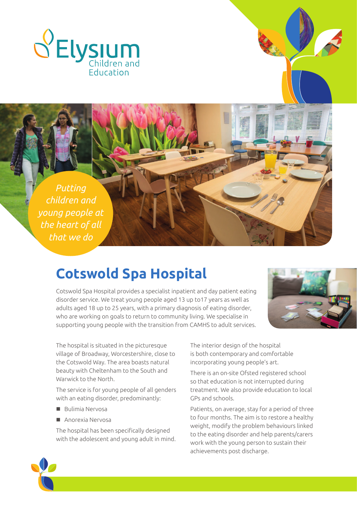

*Putting children and young people at the heart of all that we do*

# **Cotswold Spa Hospital**

Cotswold Spa Hospital provides a specialist inpatient and day patient eating disorder service. We treat young people aged 13 up to17 years as well as adults aged 18 up to 25 years, with a primary diagnosis of eating disorder, who are working on goals to return to community living. We specialise in supporting young people with the transition from CAMHS to adult services.



The hospital is situated in the picturesque village of Broadway, Worcestershire, close to the Cotswold Way. The area boasts natural beauty with Cheltenham to the South and Warwick to the North.

The service is for young people of all genders with an eating disorder, predominantly:

- $\blacksquare$  Bulimia Nervosa
- $\blacksquare$  Anorexia Nervosa

The hospital has been specifically designed with the adolescent and young adult in mind. The interior design of the hospital is both contemporary and comfortable incorporating young people's art.

There is an on-site Ofsted registered school so that education is not interrupted during treatment. We also provide education to local GPs and schools.

Patients, on average, stay for a period of three to four months. The aim is to restore a healthy weight, modify the problem behaviours linked to the eating disorder and help parents/carers work with the young person to sustain their achievements post discharge.